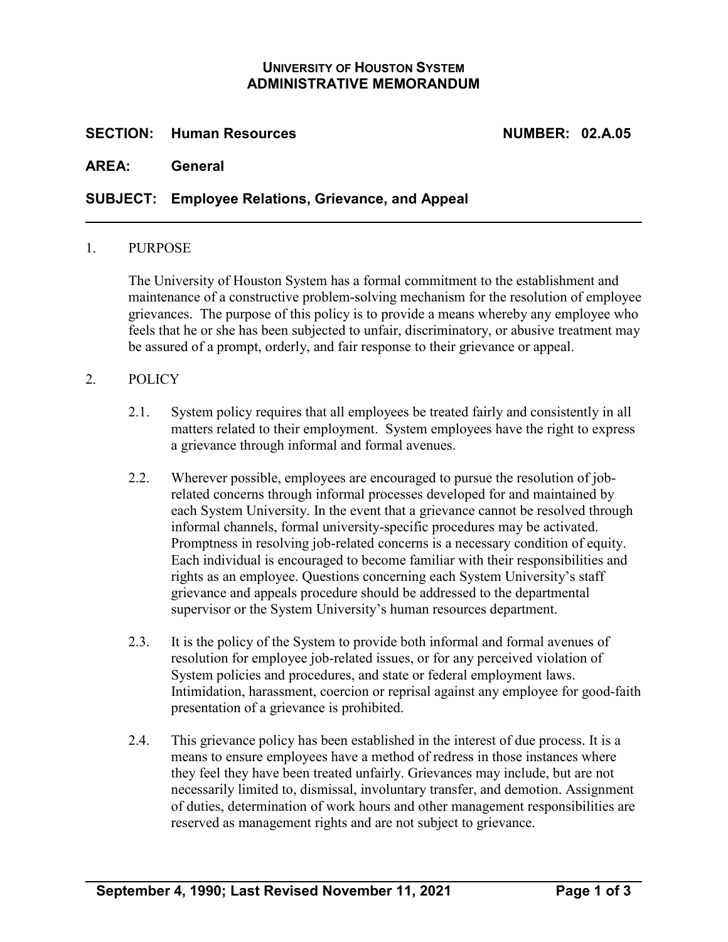# **UNIVERSITY OF HOUSTON SYSTEM ADMINISTRATIVE MEMORANDUM**

# **SECTION: Human Resources NUMBER: 02.A.05**

**AREA: General**

### **SUBJECT: Employee Relations, Grievance, and Appeal**

#### 1. PURPOSE

The University of Houston System has a formal commitment to the establishment and maintenance of a constructive problem-solving mechanism for the resolution of employee grievances. The purpose of this policy is to provide a means whereby any employee who feels that he or she has been subjected to unfair, discriminatory, or abusive treatment may be assured of a prompt, orderly, and fair response to their grievance or appeal.

### 2. POLICY

- 2.1. System policy requires that all employees be treated fairly and consistently in all matters related to their employment. System employees have the right to express a grievance through informal and formal avenues.
- 2.2. Wherever possible, employees are encouraged to pursue the resolution of jobrelated concerns through informal processes developed for and maintained by each System University. In the event that a grievance cannot be resolved through informal channels, formal university-specific procedures may be activated. Promptness in resolving job-related concerns is a necessary condition of equity. Each individual is encouraged to become familiar with their responsibilities and rights as an employee. Questions concerning each System University's staff grievance and appeals procedure should be addressed to the departmental supervisor or the System University's human resources department.
- 2.3. It is the policy of the System to provide both informal and formal avenues of resolution for employee job-related issues, or for any perceived violation of System policies and procedures, and state or federal employment laws. Intimidation, harassment, coercion or reprisal against any employee for good-faith presentation of a grievance is prohibited.
- 2.4. This grievance policy has been established in the interest of due process. It is a means to ensure employees have a method of redress in those instances where they feel they have been treated unfairly. Grievances may include, but are not necessarily limited to, dismissal, involuntary transfer, and demotion. Assignment of duties, determination of work hours and other management responsibilities are reserved as management rights and are not subject to grievance.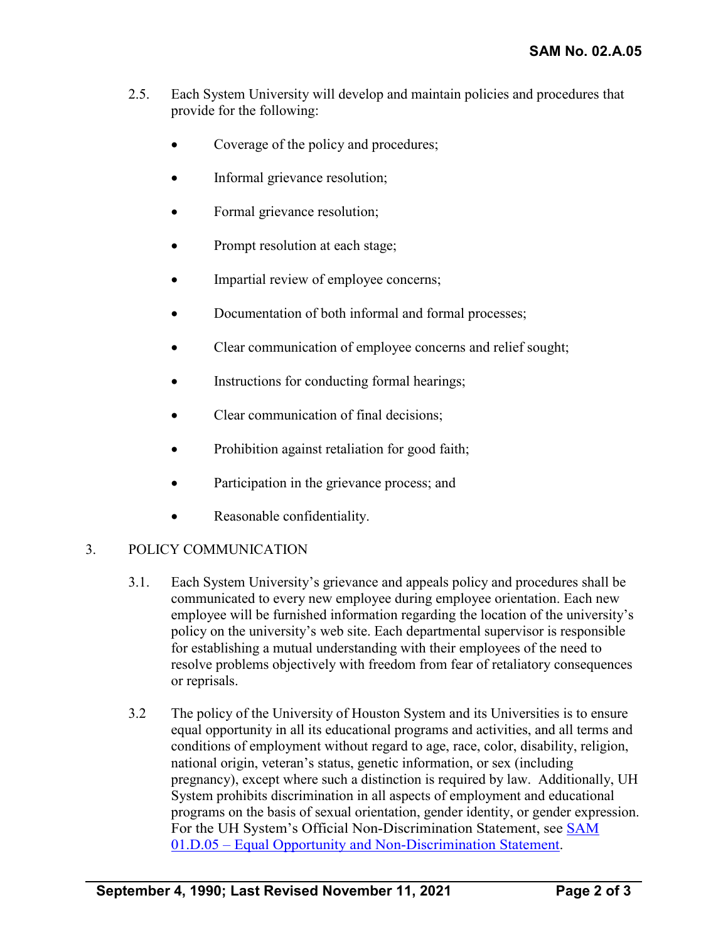- 2.5. Each System University will develop and maintain policies and procedures that provide for the following:
	- Coverage of the policy and procedures;
	- Informal grievance resolution;
	- Formal grievance resolution;
	- Prompt resolution at each stage;
	- Impartial review of employee concerns;
	- Documentation of both informal and formal processes;
	- Clear communication of employee concerns and relief sought;
	- Instructions for conducting formal hearings;
	- Clear communication of final decisions;
	- Prohibition against retaliation for good faith;
	- Participation in the grievance process; and
	- Reasonable confidentiality.

# 3. POLICY COMMUNICATION

- 3.1. Each System University's grievance and appeals policy and procedures shall be communicated to every new employee during employee orientation. Each new employee will be furnished information regarding the location of the university's policy on the university's web site. Each departmental supervisor is responsible for establishing a mutual understanding with their employees of the need to resolve problems objectively with freedom from fear of retaliatory consequences or reprisals.
- 3.2 The policy of the University of Houston System and its Universities is to ensure equal opportunity in all its educational programs and activities, and all terms and conditions of employment without regard to age, race, color, disability, religion, national origin, veteran's status, genetic information, or sex (including pregnancy), except where such a distinction is required by law. Additionally, UH System prohibits discrimination in all aspects of employment and educational programs on the basis of sexual orientation, gender identity, or gender expression. For the UH System's Official Non-Discrimination Statement, see [SAM](https://uhsystem.edu/compliance-ethics/_docs/sam/01/1d51.pdf) 01.D.05 – [Equal Opportunity and Non-Discrimination Statement.](https://uhsystem.edu/compliance-ethics/_docs/sam/01/1d51.pdf)